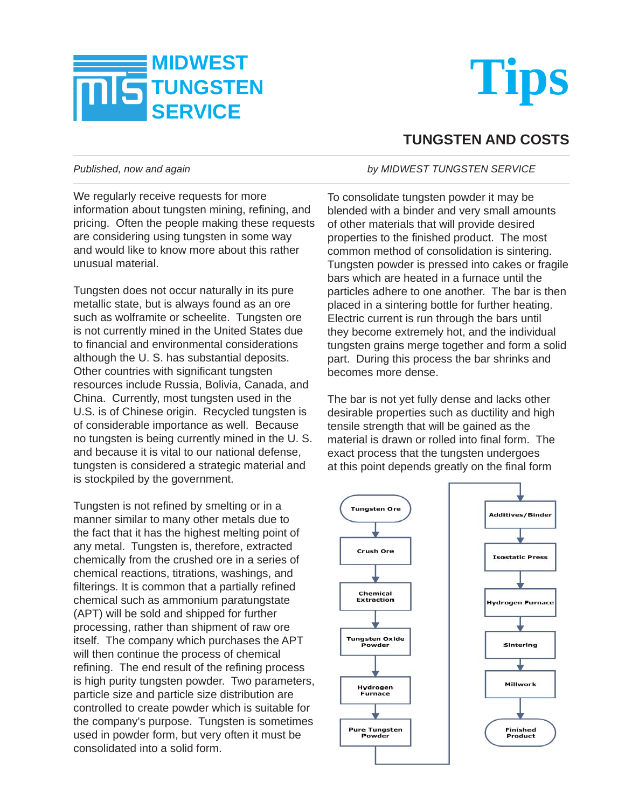



## **TUNGSTEN AND COSTS**

We regularly receive requests for more information about tungsten mining, refining, and pricing. Often the people making these requests are considering using tungsten in some way and would like to know more about this rather unusual material.

Tungsten does not occur naturally in its pure metallic state, but is always found as an ore such as wolframite or scheelite. Tungsten ore is not currently mined in the United States due to financial and environmental considerations although the U. S. has substantial deposits. Other countries with significant tungsten resources include Russia, Bolivia, Canada, and China. Currently, most tungsten used in the U.S. is of Chinese origin. Recycled tungsten is of considerable importance as well. Because no tungsten is being currently mined in the U. S. and because it is vital to our national defense, tungsten is considered a strategic material and is stockpiled by the government.

Tungsten is not refined by smelting or in a manner similar to many other metals due to the fact that it has the highest melting point of any metal. Tungsten is, therefore, extracted chemically from the crushed ore in a series of chemical reactions, titrations, washings, and filterings. It is common that a partially refined chemical such as ammonium paratungstate (APT) will be sold and shipped for further processing, rather than shipment of raw ore itself. The company which purchases the APT will then continue the process of chemical refining. The end result of the refining process is high purity tungsten powder. Two parameters, particle size and particle size distribution are controlled to create powder which is suitable for the company's purpose. Tungsten is sometimes used in powder form, but very often it must be consolidated into a solid form.

## *Published, now and again by MIDWEST TUNGSTEN SERVICE*

To consolidate tungsten powder it may be blended with a binder and very small amounts of other materials that will provide desired properties to the finished product. The most common method of consolidation is sintering. Tungsten powder is pressed into cakes or fragile bars which are heated in a furnace until the particles adhere to one another. The bar is then placed in a sintering bottle for further heating. Electric current is run through the bars until they become extremely hot, and the individual tungsten grains merge together and form a solid part. During this process the bar shrinks and becomes more dense.

The bar is not yet fully dense and lacks other desirable properties such as ductility and high tensile strength that will be gained as the material is drawn or rolled into final form. The exact process that the tungsten undergoes at this point depends greatly on the final form